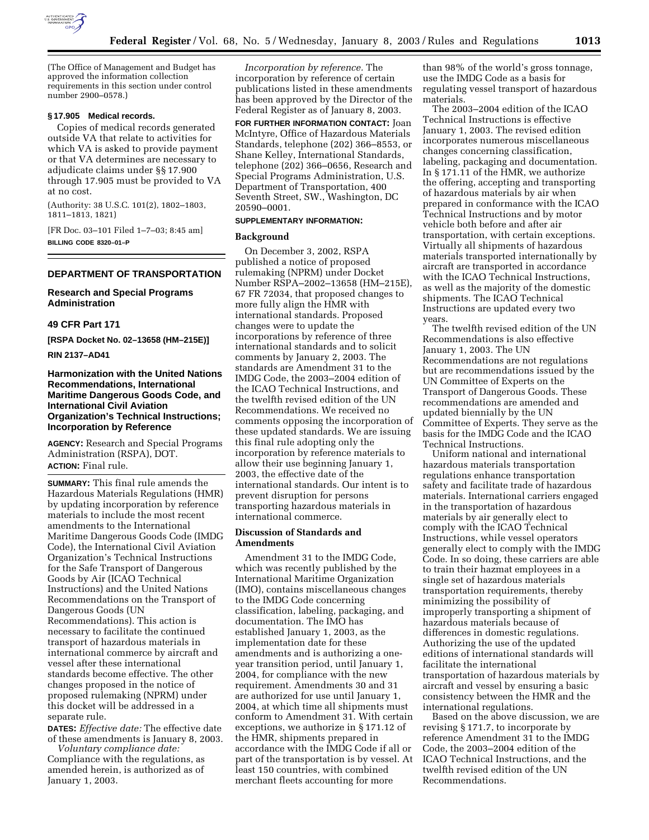

(The Office of Management and Budget has approved the information collection requirements in this section under control number 2900–0578.)

# **§ 17.905 Medical records.**

Copies of medical records generated outside VA that relate to activities for which VA is asked to provide payment or that VA determines are necessary to adjudicate claims under §§ 17.900 through 17.905 must be provided to VA at no cost.

(Authority: 38 U.S.C. 101(2), 1802–1803, 1811–1813, 1821)

[FR Doc. 03–101 Filed 1–7–03; 8:45 am] **BILLING CODE 8320–01–P**

# **DEPARTMENT OF TRANSPORTATION**

**Research and Special Programs Administration** 

### **49 CFR Part 171**

**[RSPA Docket No. 02–13658 (HM–215E)]** 

**RIN 2137–AD41** 

# **Harmonization with the United Nations Recommendations, International Maritime Dangerous Goods Code, and International Civil Aviation Organization's Technical Instructions; Incorporation by Reference**

**AGENCY:** Research and Special Programs Administration (RSPA), DOT. **ACTION:** Final rule.

**SUMMARY:** This final rule amends the Hazardous Materials Regulations (HMR) by updating incorporation by reference materials to include the most recent amendments to the International Maritime Dangerous Goods Code (IMDG Code), the International Civil Aviation Organization's Technical Instructions for the Safe Transport of Dangerous Goods by Air (ICAO Technical Instructions) and the United Nations Recommendations on the Transport of Dangerous Goods (UN Recommendations). This action is necessary to facilitate the continued transport of hazardous materials in international commerce by aircraft and vessel after these international standards become effective. The other changes proposed in the notice of proposed rulemaking (NPRM) under this docket will be addressed in a separate rule.

**DATES:** *Effective date:* The effective date of these amendments is January 8, 2003.

*Voluntary compliance date:* Compliance with the regulations, as amended herein, is authorized as of January 1, 2003.

*Incorporation by reference.* The incorporation by reference of certain publications listed in these amendments has been approved by the Director of the Federal Register as of January 8, 2003.

**FOR FURTHER INFORMATION CONTACT:** Joan McIntyre, Office of Hazardous Materials Standards, telephone (202) 366–8553, or Shane Kelley, International Standards, telephone (202) 366–0656, Research and Special Programs Administration, U.S. Department of Transportation, 400 Seventh Street, SW., Washington, DC 20590–0001.

#### **SUPPLEMENTARY INFORMATION:**

#### **Background**

On December 3, 2002, RSPA published a notice of proposed rulemaking (NPRM) under Docket Number RSPA–2002–13658 (HM–215E), 67 FR 72034, that proposed changes to more fully align the HMR with international standards. Proposed changes were to update the incorporations by reference of three international standards and to solicit comments by January 2, 2003. The standards are Amendment 31 to the IMDG Code, the 2003–2004 edition of the ICAO Technical Instructions, and the twelfth revised edition of the UN Recommendations. We received no comments opposing the incorporation of these updated standards. We are issuing this final rule adopting only the incorporation by reference materials to allow their use beginning January 1, 2003, the effective date of the international standards. Our intent is to prevent disruption for persons transporting hazardous materials in international commerce.

## **Discussion of Standards and Amendments**

Amendment 31 to the IMDG Code, which was recently published by the International Maritime Organization (IMO), contains miscellaneous changes to the IMDG Code concerning classification, labeling, packaging, and documentation. The IMO has established January 1, 2003, as the implementation date for these amendments and is authorizing a oneyear transition period, until January 1, 2004, for compliance with the new requirement. Amendments 30 and 31 are authorized for use until January 1, 2004, at which time all shipments must conform to Amendment 31. With certain exceptions, we authorize in § 171.12 of the HMR, shipments prepared in accordance with the IMDG Code if all or part of the transportation is by vessel. At least 150 countries, with combined merchant fleets accounting for more

than 98% of the world's gross tonnage, use the IMDG Code as a basis for regulating vessel transport of hazardous materials.

The 2003–2004 edition of the ICAO Technical Instructions is effective January 1, 2003. The revised edition incorporates numerous miscellaneous changes concerning classification, labeling, packaging and documentation. In § 171.11 of the HMR, we authorize the offering, accepting and transporting of hazardous materials by air when prepared in conformance with the ICAO Technical Instructions and by motor vehicle both before and after air transportation, with certain exceptions. Virtually all shipments of hazardous materials transported internationally by aircraft are transported in accordance with the ICAO Technical Instructions, as well as the majority of the domestic shipments. The ICAO Technical Instructions are updated every two years.

The twelfth revised edition of the UN Recommendations is also effective January 1, 2003. The UN Recommendations are not regulations but are recommendations issued by the UN Committee of Experts on the Transport of Dangerous Goods. These recommendations are amended and updated biennially by the UN Committee of Experts. They serve as the basis for the IMDG Code and the ICAO Technical Instructions.

Uniform national and international hazardous materials transportation regulations enhance transportation safety and facilitate trade of hazardous materials. International carriers engaged in the transportation of hazardous materials by air generally elect to comply with the ICAO Technical Instructions, while vessel operators generally elect to comply with the IMDG Code. In so doing, these carriers are able to train their hazmat employees in a single set of hazardous materials transportation requirements, thereby minimizing the possibility of improperly transporting a shipment of hazardous materials because of differences in domestic regulations. Authorizing the use of the updated editions of international standards will facilitate the international transportation of hazardous materials by aircraft and vessel by ensuring a basic consistency between the HMR and the international regulations.

Based on the above discussion, we are revising § 171.7, to incorporate by reference Amendment 31 to the IMDG Code, the 2003–2004 edition of the ICAO Technical Instructions, and the twelfth revised edition of the UN Recommendations.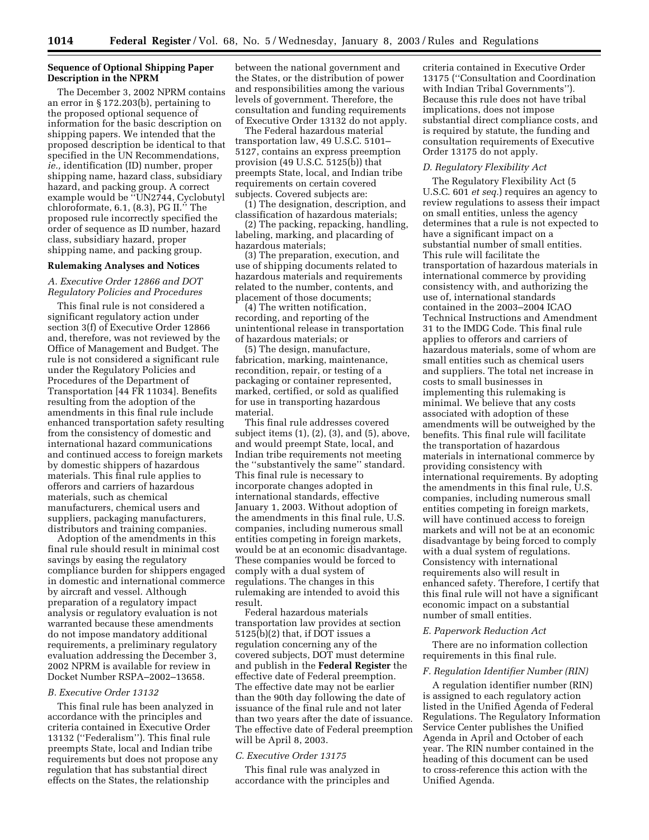## **Sequence of Optional Shipping Paper Description in the NPRM**

The December 3, 2002 NPRM contains an error in § 172.203(b), pertaining to the proposed optional sequence of information for the basic description on shipping papers. We intended that the proposed description be identical to that specified in the UN Recommendations, *ie.,* identification (ID) number, proper shipping name, hazard class, subsidiary hazard, and packing group. A correct example would be "UN2744, Cyclobutyl chloroformate, 6.1, (8.3), PG II.'' The proposed rule incorrectly specified the order of sequence as ID number, hazard class, subsidiary hazard, proper shipping name, and packing group.

### **Rulemaking Analyses and Notices**

*A. Executive Order 12866 and DOT Regulatory Policies and Procedures* 

This final rule is not considered a significant regulatory action under section 3(f) of Executive Order 12866 and, therefore, was not reviewed by the Office of Management and Budget. The rule is not considered a significant rule under the Regulatory Policies and Procedures of the Department of Transportation [44 FR 11034]. Benefits resulting from the adoption of the amendments in this final rule include enhanced transportation safety resulting from the consistency of domestic and international hazard communications and continued access to foreign markets by domestic shippers of hazardous materials. This final rule applies to offerors and carriers of hazardous materials, such as chemical manufacturers, chemical users and suppliers, packaging manufacturers, distributors and training companies.

Adoption of the amendments in this final rule should result in minimal cost savings by easing the regulatory compliance burden for shippers engaged in domestic and international commerce by aircraft and vessel. Although preparation of a regulatory impact analysis or regulatory evaluation is not warranted because these amendments do not impose mandatory additional requirements, a preliminary regulatory evaluation addressing the December 3, 2002 NPRM is available for review in Docket Number RSPA–2002–13658.

#### *B. Executive Order 13132*

This final rule has been analyzed in accordance with the principles and criteria contained in Executive Order 13132 (''Federalism''). This final rule preempts State, local and Indian tribe requirements but does not propose any regulation that has substantial direct effects on the States, the relationship

between the national government and the States, or the distribution of power and responsibilities among the various levels of government. Therefore, the consultation and funding requirements of Executive Order 13132 do not apply.

The Federal hazardous material transportation law, 49 U.S.C. 5101– 5127, contains an express preemption provision  $(49 \text{ U.S.C. } 5125(\hat{b}))$  that preempts State, local, and Indian tribe requirements on certain covered subjects. Covered subjects are:

(1) The designation, description, and classification of hazardous materials;

(2) The packing, repacking, handling, labeling, marking, and placarding of hazardous materials;

(3) The preparation, execution, and use of shipping documents related to hazardous materials and requirements related to the number, contents, and placement of those documents;

(4) The written notification, recording, and reporting of the unintentional release in transportation of hazardous materials; or

(5) The design, manufacture, fabrication, marking, maintenance, recondition, repair, or testing of a packaging or container represented, marked, certified, or sold as qualified for use in transporting hazardous material.

This final rule addresses covered subject items (1), (2), (3), and (5), above, and would preempt State, local, and Indian tribe requirements not meeting the ''substantively the same'' standard. This final rule is necessary to incorporate changes adopted in international standards, effective January 1, 2003. Without adoption of the amendments in this final rule, U.S. companies, including numerous small entities competing in foreign markets, would be at an economic disadvantage. These companies would be forced to comply with a dual system of regulations. The changes in this rulemaking are intended to avoid this result.

Federal hazardous materials transportation law provides at section 5125(b)(2) that, if DOT issues a regulation concerning any of the covered subjects, DOT must determine and publish in the **Federal Register** the effective date of Federal preemption. The effective date may not be earlier than the 90th day following the date of issuance of the final rule and not later than two years after the date of issuance. The effective date of Federal preemption will be April 8, 2003.

## *C. Executive Order 13175*

This final rule was analyzed in accordance with the principles and

criteria contained in Executive Order 13175 (''Consultation and Coordination with Indian Tribal Governments''). Because this rule does not have tribal implications, does not impose substantial direct compliance costs, and is required by statute, the funding and consultation requirements of Executive Order 13175 do not apply.

### *D. Regulatory Flexibility Act*

The Regulatory Flexibility Act (5 U.S.C. 601 *et seq.*) requires an agency to review regulations to assess their impact on small entities, unless the agency determines that a rule is not expected to have a significant impact on a substantial number of small entities. This rule will facilitate the transportation of hazardous materials in international commerce by providing consistency with, and authorizing the use of, international standards contained in the 2003–2004 ICAO Technical Instructions and Amendment 31 to the IMDG Code. This final rule applies to offerors and carriers of hazardous materials, some of whom are small entities such as chemical users and suppliers. The total net increase in costs to small businesses in implementing this rulemaking is minimal. We believe that any costs associated with adoption of these amendments will be outweighed by the benefits. This final rule will facilitate the transportation of hazardous materials in international commerce by providing consistency with international requirements. By adopting the amendments in this final rule, U.S. companies, including numerous small entities competing in foreign markets, will have continued access to foreign markets and will not be at an economic disadvantage by being forced to comply with a dual system of regulations. Consistency with international requirements also will result in enhanced safety. Therefore, I certify that this final rule will not have a significant economic impact on a substantial number of small entities.

#### *E. Paperwork Reduction Act*

There are no information collection requirements in this final rule.

#### *F. Regulation Identifier Number (RIN)*

A regulation identifier number (RIN) is assigned to each regulatory action listed in the Unified Agenda of Federal Regulations. The Regulatory Information Service Center publishes the Unified Agenda in April and October of each year. The RIN number contained in the heading of this document can be used to cross-reference this action with the Unified Agenda.